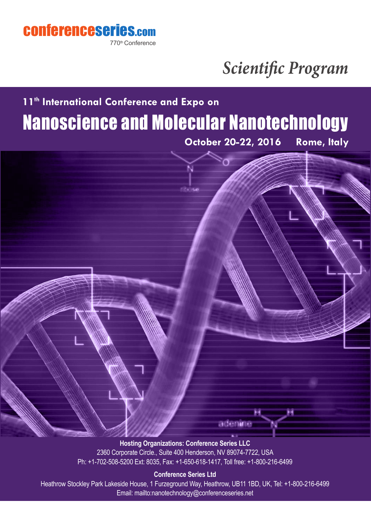

770th Conference

# *Scientific Program*

## Nanoscience and Molecular Nanotechnology **11<sup>th</sup> International Conference and Expo on**

**October 20-22, 2016 Rome, Italy**

**Hosting Organizations: Conference Series LLC** 2360 Corporate Circle., Suite 400 Henderson, NV 89074-7722, USA Ph: +1-702-508-5200 Ext: 8035, Fax: +1-650-618-1417, Toll free: +1-800-216-6499

ademi-

### **Conference Series Ltd**

Heathrow Stockley Park Lakeside House, 1 Furzeground Way, Heathrow, UB11 1BD, UK, Tel: +1-800-216-6499 Email: mailto:nanotechnology@conferenceseries.net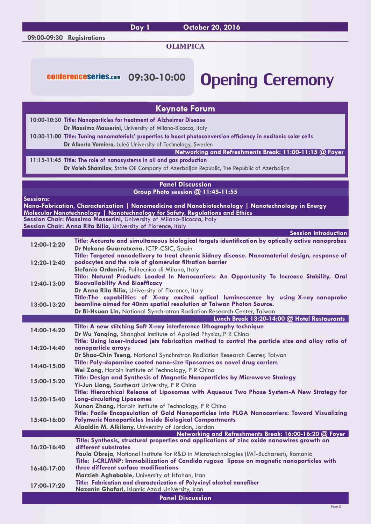**Day 1 October 20, 2016**

**09:00-09:30 Registrations**

**OLIMPICA**

### conferenceseries.com 09:30-10:00 Opening Ceremony

| <b>Keynote Forum</b>                                                                                                                                                                                                                                                                                                                      |                                                                                                                                                                                                                                                                                                                    |  |  |
|-------------------------------------------------------------------------------------------------------------------------------------------------------------------------------------------------------------------------------------------------------------------------------------------------------------------------------------------|--------------------------------------------------------------------------------------------------------------------------------------------------------------------------------------------------------------------------------------------------------------------------------------------------------------------|--|--|
|                                                                                                                                                                                                                                                                                                                                           | 10:00-10:30 Title: Nanoparticles for treatment of Alzheimer Disease<br>Dr Massimo Masserini, University of Milano-Bicocca, Italy<br>10:30-11:00 Title: Tuning nanomaterials' properties to boost photoconversion efficiency in excitonic solar cells<br>Dr Alberto Vomiero, Luleå University of Technology, Sweden |  |  |
|                                                                                                                                                                                                                                                                                                                                           | Networking and Refreshments Break: 11:00-11:15 @ Foyer<br>11:15-11:45 Title: The role of nanosystems in oil and gas production<br>Dr Valeh Shamilov, State Oil Company of Azerbaijan Republic, The Republic of Azerbaijan                                                                                          |  |  |
|                                                                                                                                                                                                                                                                                                                                           | <b>Panel Discussion</b><br>Group Photo session @ 11:45-11:55                                                                                                                                                                                                                                                       |  |  |
| Sessions:<br>Nano-Fabrication, Characterization   Nanomedicine and Nanobiotechnology   Nanotechnology in Energy<br>Molecular Nanotechnology   Nanotechnology for Safety, Regulations and Ethics<br>Session Chair: Massimo Masserini, University of Milano-Bicocca, Italy<br>Session Chair: Anna Rita Bilia, University of Florence, Italy |                                                                                                                                                                                                                                                                                                                    |  |  |
|                                                                                                                                                                                                                                                                                                                                           | <b>Session Introduction</b>                                                                                                                                                                                                                                                                                        |  |  |
| 12:00-12:20                                                                                                                                                                                                                                                                                                                               | Title: Accurate and simultaneous biological targets identification by optically active nanoprobes<br>Dr Nekane Guarrotxena, ICTP-CSIC, Spain                                                                                                                                                                       |  |  |
| 12:20-12:40                                                                                                                                                                                                                                                                                                                               | Title: Targeted nanodelivery to treat chronic kidney disease. Nanomaterial design, response of<br>podocytes and the role of glomerular filtration barrier<br>Stefanio Ordanini, Politecnico di Milano, Italy                                                                                                       |  |  |
| 12:40-13:00                                                                                                                                                                                                                                                                                                                               | Title: Natural Products Loaded In Nanocarriers: An Opportunity To Increase Stability, Oral<br><b>Bioavailability And Bioefficacy</b><br>Dr Anna Rita Bilia, University of Florence, Italy                                                                                                                          |  |  |
| 13:00-13:20                                                                                                                                                                                                                                                                                                                               | Title:The capabilities of X-ray excited optical luminescence by using X-ray nanoprobe<br>beamline aimed for 40nm spatial resolution at Taiwan Photon Source.<br>Dr Bi-Hsuan Lin, National Synchrotron Radiation Research Center, Taiwan                                                                            |  |  |
|                                                                                                                                                                                                                                                                                                                                           | Lunch Break 13:20-14:00 @ Hotel Restaurants                                                                                                                                                                                                                                                                        |  |  |
| 14:00-14:20                                                                                                                                                                                                                                                                                                                               | Title: A new stitching Soft X-ray interference lithography technique<br>Dr Wu Yanqing, Shanghai Institute of Applied Physics, P R China                                                                                                                                                                            |  |  |
| 14:20-14:40                                                                                                                                                                                                                                                                                                                               | Title: Using laser-induced jets fabrication method to control the particle size and alloy ratio of<br>nanoparticle arrays<br>Dr Shao-Chin Tseng, National Synchrotron Radiation Research Center, Taiwan                                                                                                            |  |  |
| 14:40-15:00                                                                                                                                                                                                                                                                                                                               | Title: Poly-dopamine coated nano-size liposomes as novel drug carriers<br>Wei Zong, Harbin Institute of Technology, P R China                                                                                                                                                                                      |  |  |
| 15:00-15:20                                                                                                                                                                                                                                                                                                                               | Title: Design and Synthesis of Magnetic Nanoparticles by Microwave Strategy<br>Yi-Jun Liang, Southeast University, P R China                                                                                                                                                                                       |  |  |
| 15:20-15:40                                                                                                                                                                                                                                                                                                                               | Title: Hierarchical Release of Liposomes with Aqueous Two Phase System-A New Strategy for<br><b>Long-circulating Liposomes</b><br>Xunan Zhang, Harbin Institute of Technology, P R China                                                                                                                           |  |  |
| 15:40-16:00                                                                                                                                                                                                                                                                                                                               | Title: Facile Encapsulation of Gold Nanoparticles into PLGA Nanocarriers: Toward Visualizing<br><b>Polymeric Nanoparticles Inside Biological Compartments</b><br>Alaaldin M. Alkilany, University of Jordan, Jordan                                                                                                |  |  |
|                                                                                                                                                                                                                                                                                                                                           | Networking and Refreshments Break: 16:00-16:20 @ Foyer                                                                                                                                                                                                                                                             |  |  |
| 16:20-16:40                                                                                                                                                                                                                                                                                                                               | Title: Synthesis, structural properties and applications of zinc oxide nanowires growth on<br>different substrates                                                                                                                                                                                                 |  |  |
|                                                                                                                                                                                                                                                                                                                                           | Paula Obreja, National Institute for R&D in Microtechnologies (IMT-Bucharest), Romania                                                                                                                                                                                                                             |  |  |
|                                                                                                                                                                                                                                                                                                                                           | Title: I-CRLMNP: Immobilization of Candida rugosa lipase on magnetic nanoparticles with                                                                                                                                                                                                                            |  |  |
| 16:40-17:00                                                                                                                                                                                                                                                                                                                               | three different surface modifications                                                                                                                                                                                                                                                                              |  |  |
|                                                                                                                                                                                                                                                                                                                                           | Marzieh Aghababie, University of Isfahan, Iran<br>Title: Fabrication and characterization of Polyvinyl alcohol nanofiber                                                                                                                                                                                           |  |  |
| 17:00-17:20                                                                                                                                                                                                                                                                                                                               | Nazanin Ghafari, Islamic Azad University, Iran                                                                                                                                                                                                                                                                     |  |  |

**Panel Discussion**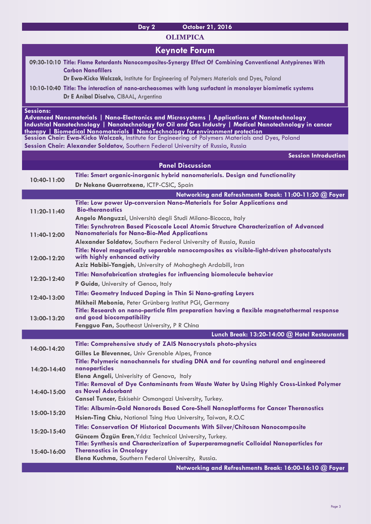#### **Day 2 October 21, 2016**

#### **OLIMPICA**

| <b>Keynote Forum</b> |  |  |  |
|----------------------|--|--|--|
|----------------------|--|--|--|

**09:30-10:10 Title: Flame Retardants Nanocomposites-Synergy Effect Of Combining Conventional Antypirenes With Carbon Nanofillers**

**Dr Ewa-Kicko Walczak,** Institute for Engineering of Polymers Materials and Dyes, Poland

**10:10-10:40 Title: The interaction of nano-archeasomes with lung surfactant in monolayer biomimetic systems Dr E Anibal Disalvo,** CIBAAL, Argentina

#### **Sessions:**

**Advanced Nanomaterials | Nano-Electronics and Microsystems | Applications of Nanotechnology Industrial Nanotechnology | Nanotechnology for Oil and Gas Industry | Medical Nanotechnology in cancer therapy | Biomedical Nanomaterials | NanoTechnology for environment protection Session Chair: Ewa-Kicko Walczak,** Institute for Engineering of Polymers Materials and Dyes, Poland **Session Chair: Alexander Soldatov,** Southern Federal University of Russia, Russia

**Session Introduction Panel Discussion 10:40-11:00 Title: Smart organic-inorganic hybrid nanomaterials. Design and functionality Dr Nekane Guarrotxena,** ICTP-CSIC, Spain **Networking and Refreshments Break: 11:00-11:20 @ Foyer 11:20-11:40 Title: Low power Up-conversion Nano-Materials for Solar Applications and Bio-theranostics Angelo Monguzzi**, Università degli Studi Milano-Bicocca, Italy **11:40-12:00 Title: Synchrotron Based Picoscale Local Atomic Structure Characterization of Advanced Nanomaterials for Nano-Bio-Med Applications Alexander Soldatov,** Southern Federal University of Russia, Russia **12:00-12:20 Title: Novel magnetically separable nanocomposites as visible-light-driven photocatalysts with highly enhanced activity Aziz Habibi-Yangjeh,** University of Mohaghegh Ardabili, Iran **12:20-12:40 Title: Nanofabrication strategies for influencing biomolecule behavior P Guida,** University of Genoa, Italy **12:40-13:00 Title: Geometry Induced Doping in Thin Si Nano-grating Layers Mikheil Mebonia,** Peter Grünberg Institut PGI, Germany **13:00-13:20 Title: Research on nano-particle film preparation having a flexible magnetothermal response and good biocompatibility Fengguo Fan,** Southeast University, P R China **Lunch Break: 13:20-14:00 @ Hotel Restaurants 14:00-14:20 Title: Comprehensive study of ZAIS Nanocrystals photo-physics Gilles Le Blevennec,** Univ Grenoble Alpes, France  **14:20-14:40 Title: Polymeric nanochannels for studing DNA and for counting natural and engineered nanoparticles Elena Angeli,** Univerisity of Genova, Italy  **14:40-15:00 Title: Removal of Dye Contaminants from Waste Water by Using Highly Cross-Linked Polymer as Novel Adsorbant Cansel Tuncer,** Eskisehir Osmangazi University, Turkey.  **15:00-15:20 Title: Albumin-Gold Nanorods Based Core-Shell Nanoplatforms for Cancer Theranostics Hsien-Ting Chiu,** National Tsing Hua University, Taiwan, R.O.C  **15:20-15:40 Title: Conservation Of Historical Documents With Silver/Chitosan Nanocomposite Güncem Özgün Eren,**Yıldız Technical University, Turkey.  **15:40-16:00 Title: Synthesis and Characterization of Superparamagnetic Colloidal Nanoparticles for Theranostics in Oncology Elena Kuchma,** Southern Federal University, Russia. **Networking and Refreshments Break: 16:00-16:10 @ Foyer**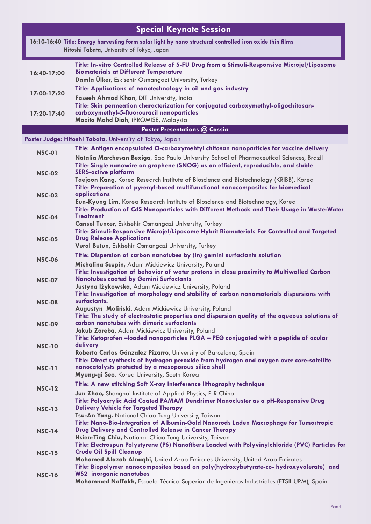| <b>Special Keynote Session</b>                                                                                                                          |                                                                                                                                                                                                                                                                    |  |  |
|---------------------------------------------------------------------------------------------------------------------------------------------------------|--------------------------------------------------------------------------------------------------------------------------------------------------------------------------------------------------------------------------------------------------------------------|--|--|
| 16:10-16:40 Title: Energy harvesting form solar light by nano structural controlled iron oxide thin films<br>Hitoshi Tabata, University of Tokyo, Japan |                                                                                                                                                                                                                                                                    |  |  |
| 16:40-17:00                                                                                                                                             | Title: In-vitro Controlled Release of 5-FU Drug from a Stimuli-Responsive Microjel/Liposome<br><b>Biomaterials at Different Temperature</b><br>Damla Ülker, Eskisehir Osmangazi University, Turkey                                                                 |  |  |
| 17:00-17:20                                                                                                                                             | Title: Applications of nanotechnology in oil and gas industry<br>Faseeh Ahmad Khan, DIT University, India                                                                                                                                                          |  |  |
| 17:20-17:40                                                                                                                                             | Title: Skin permeation characterization for conjugated carboxymethyl-oligochitosan-<br>carboxymethyl-5-fluorouracil nanoparticles<br>Mazita Mohd Diah, iPROMISE, Malaysia                                                                                          |  |  |
|                                                                                                                                                         | <b>Poster Presentations @ Cassia</b>                                                                                                                                                                                                                               |  |  |
|                                                                                                                                                         | Poster Judge: Hitoshi Tabata, University of Tokyo, Japan                                                                                                                                                                                                           |  |  |
| <b>NSC-01</b>                                                                                                                                           | Title: Antigen encapsulated O-carboxymehtyl chitosan nanoparticles for vaccine delivery<br>Natalia Marchesan Bexiga, Sao Paulo University School of Pharmaceutical Sciences, Brazil                                                                                |  |  |
| <b>NSC-02</b>                                                                                                                                           | Title: Single nanowire on graphene (SNOG) as an efficient, reproducible, and stable<br><b>SERS-active platform</b><br>Taejoon Kang, Korea Research Institute of Bioscience and Biotechnology (KRIBB), Korea                                                        |  |  |
| <b>NSC-03</b>                                                                                                                                           | Title: Preparation of pyrenyl-based multifunctional nanocomposites for biomedical<br>applications                                                                                                                                                                  |  |  |
| <b>NSC-04</b>                                                                                                                                           | Eun-Kyung Lim, Korea Research Institute of Bioscience and Biotechnology, Korea<br>Title: Production of CdS Nanoparticles with Different Methods and Their Usage in Waste-Water<br><b>Treatment</b><br><b>Cansel Tuncer, Eskisehir Osmangazi University, Turkey</b> |  |  |
| <b>NSC-05</b>                                                                                                                                           | Title: Stimuli-Responsive Microjel/Liposome Hybrit Biomaterials For Controlled and Targeted<br><b>Drug Release Applications</b><br>Vural Butun, Eskisehir Osmangazi University, Turkey                                                                             |  |  |
| <b>NSC-06</b>                                                                                                                                           | Title: Dispersion of carbon nanotubes by (in) gemini surfactants solution<br>Michalina Scupin, Adam Mickiewicz University, Poland                                                                                                                                  |  |  |
| <b>NSC-07</b>                                                                                                                                           | Title: Investigation of behavior of water protons in close proximity to Multiwalled Carbon<br><b>Nanotubes coated by Gemini Surfactants</b><br>Justyna Iżykowska, Adam Mickiewicz University, Poland                                                               |  |  |
| <b>NSC-08</b>                                                                                                                                           | Title: Investigation of morphology and stability of carbon nanomaterials dispersions with<br>surtactants.<br>Augustyn Moliński, Adam Mickiewicz University, Poland                                                                                                 |  |  |
| <b>NSC-09</b>                                                                                                                                           | Title: The study of electrostatic properties and dispersion quality of the aqueous solutions of<br>carbon nanotubes with dimeric surfactants<br>Jakub Zareba, Adam Mickiewicz University, Poland                                                                   |  |  |
| <b>NSC-10</b>                                                                                                                                           | Title: Ketoprofen -loaded nanoparticles PLGA - PEG conjugated with a peptide of ocular<br>delivery<br>Roberto Carlos Gónzalez Pizarro, University of Barcelona, Spain                                                                                              |  |  |
| <b>NSC-11</b>                                                                                                                                           | Title: Direct synthesis of hydrogen peroxide from hydrogen and oxygen over core-satellite<br>nanocatalysts protected by a mesoporous silica shell<br>Myung-gi Seo, Korea University, South Korea                                                                   |  |  |
| <b>NSC-12</b>                                                                                                                                           | Title: A new stitching Soft X-ray interference lithography technique<br>Jun Zhao, Shanghai Institute of Applied Physics, P R China                                                                                                                                 |  |  |
| <b>NSC-13</b>                                                                                                                                           | Title: Polyacrylic Acid Coated PAMAM Dendrimer Nanocluster as a pH-Responsive Drug<br><b>Delivery Vehicle for Targeted Therapy</b><br>Tsu-An Yang, National Chiao Tung University, Taiwan                                                                          |  |  |
| <b>NSC-14</b>                                                                                                                                           | Title: Nano-Bio-Integration of Albumin-Gold Nanorods Laden Macrophage for Tumortropic<br>Drug Delivery and Controlled Release in Cancer Therapy<br>Hsien-Ting Chiu, National Chiao Tung University, Taiwan                                                         |  |  |
| <b>NSC-15</b>                                                                                                                                           | Title: Electrospun Polystyrene (PS) Nanofibers Loaded with Polyvinylchloride (PVC) Particles for<br><b>Crude Oil Spill Cleanup</b><br>Mohamed Alazab Alnaqbi, United Arab Emirates University, United Arab Emirates                                                |  |  |
| <b>NSC-16</b>                                                                                                                                           | Title: Biopolymer nanocomposites based on poly(hydroxybutyrate-co- hydroxyvalerate) and<br><b>WS2</b> inorganic nanotubes<br>Mohammed Naffakh, Escuela Técnica Superior de Ingenieros Industriales (ETSII-UPM), Spain                                              |  |  |